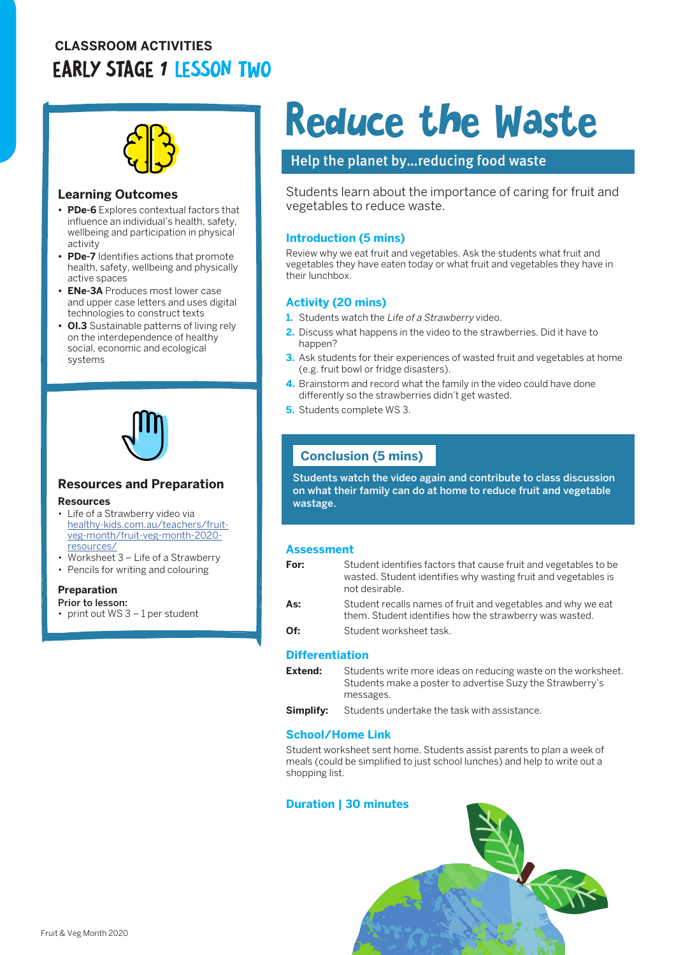# **CLASSROOM ACTIVITIES** EARLY STAGE 1 LESSON TWO



#### **Learning Outcomes**

- **• PDe-6** Explores contextual factors that influence an individual's health, safety, wellbeing and participation in physical activity
- **• PDe-7** Identifies actions that promote health, safety, wellbeing and physically active spaces
- **• ENe-3A** Produces most lower case and upper case letters and uses digital technologies to construct texts
- **• OI.3** Sustainable patterns of living rely on the interdependence of healthy social, economic and ecological systems



### **Resources and Preparation**

#### **Resources**

- Life of a Strawberry video via [healthy-kids.com.au/teachers/fruit](http://healthy-kids.com.au/teachers/fruit-veg-month/fruit-veg-month-2020-resources/)[veg-month/fruit-veg-month-2020](http://healthy-kids.com.au/teachers/fruit-veg-month/fruit-veg-month-2020-resources/) [resources/](http://healthy-kids.com.au/teachers/fruit-veg-month/fruit-veg-month-2020-resources/)
- Worksheet 3 Life of a Strawberry
- Pencils for writing and colouring

#### **Preparation**

Prior to lesson:

print out WS 3 - 1 per student

# Reduce the Waste

## Help the planet by…reducing food waste

Students learn about the importance of caring for fruit and vegetables to reduce waste.

#### **Introduction (5 mins)**

Review why we eat fruit and vegetables. Ask the students what fruit and vegetables they have eaten today or what fruit and vegetables they have in their lunchbox.

#### **Activity (20 mins)**

- **1.** Students watch the Life of a Strawberry video.
- **2.** Discuss what happens in the video to the strawberries. Did it have to happen?
- **3.** Ask students for their experiences of wasted fruit and vegetables at home (e.g. fruit bowl or fridge disasters).
- **4.** Brainstorm and record what the family in the video could have done differently so the strawberries didn't get wasted.
- **5.** Students complete WS 3.

# **Conclusion (5 mins)**

Students watch the video again and contribute to class discussion on what their family can do at home to reduce fruit and vegetable wastage.

#### **Assessment**

| For: | Student identifies factors that cause fruit and vegetables to be<br>wasted. Student identifies why wasting fruit and vegetables is<br>not desirable. |
|------|------------------------------------------------------------------------------------------------------------------------------------------------------|
| As:  | Student recalls names of fruit and vegetables and why we eat<br>them. Student identifies how the strawberry was wasted.                              |
| Of:  | Student worksheet task.                                                                                                                              |

#### **Differentiation**

- **Extend:** Students write more ideas on reducing waste on the worksheet. Students make a poster to advertise Suzy the Strawberry's messages.
- **Simplify:** Students undertake the task with assistance.

#### **School/Home Link**

Student worksheet sent home. Students assist parents to plan a week of meals (could be simplified to just school lunches) and help to write out a shopping list.

#### **Duration | 30 minutes**